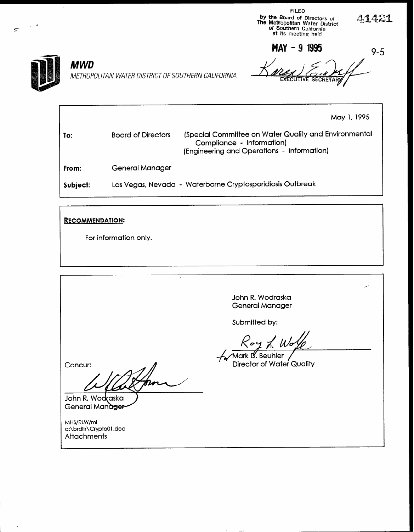FILED by the Board of Directors of  $\mathcal{L}$ .<br>The Metropolitan Water District  $\mathcal{L}$ . 7 of Southern California a\* its meeting held

MAY - 9 1995



## **MWD**

METROPOLITAN WATER DISTRICT OF SOUTHERN CALIFORNIA

9-5

May 1,1995

To: Board of Directors (Special Committee on Water Quality and Environmental Compliance - Information) From: Subject: (Engineering and Operations - Information) General Manager Las Vegas, Nevada - Waterborne Cryptosporidiosis Outbreak

## RECOMMENDATION:

For information only.

John R. Wodraska General Manager

Submitted by:

Mark D. Beuhler **Director of Water Quality** 

Concur:

John R. Wodraska General Manager

MHS/RLW/mi a:\brdltr\CryptoOl .doc **Attachments**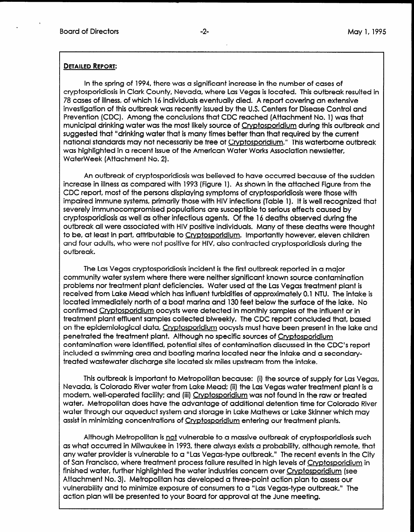.

## DETAILED REPORT:

In the spring of 1994, there was a significant increase in the number of cases of cryptosporidiosis in Clark County, Nevada, where Las Vegas is located. This outbreak resulted in 78 cases of illness, of which 16 individuals eventually died. A report covering an extensive investigation of this outbreak was recently issued by the U.S. Centers for Disease Control and Prevention (CDC). Among the conclusions that CDC reached (Attachment No. 1) was that municipal drinking water was the most likely source of Crvptosporidium during this outbreak and suggested that "drinking water that is many times better than that required by the current national standards may not necessarily be free of Cryptosporidium." This waterborne outbreak was highlighted in a recent issue of the American Water Works Association newsletter, WaterWeek (Attachment No. 2).

An outbreak of cryptosporidiosis was believed to have occurred because of the sudden increase in illness as compared with 1993 (Figure 1). As shown in the attached Figure from the CDC report, most of the persons displaying symptoms of cryptosporidiosis were those with impaired immune systems, primarily those with HIV infections (Table 1). It is well recognized that severely immunocompromised populations are susceptible to serious effects caused by cryptosporidiosis as well as other infectious agents. Of the 16 deaths observed during the outbreak all were associated with HIV positive individuals. Many of these deaths were thought to be, at least in part, attributable to Cryptosporidium. Importantly however, eleven children and four adults, who were not positive for HIV, also contracted cryptosporidiosis during the outbreak.

The Las Vegas cryptosporidiosis incident is the first outbreak reported in a major community water system where there were neither significant known source contamination problems nor treatment plant deficiencies. Water used at the Las Vegas treatment plant is received from Lake Mead which has influent turbidities of approximately 0.1 NTU. The intake is located immediately north of a boat marina and 130 feet below the surface of the surface of the surface of the confirmed Cryptoshop of the influence of the internet of the influence of the influent or influent or influent or influent or influence of the internet or influence of the internet or influence of the internet or influence confirmed Cryptosporidium oocysts were detected in monthly samples of the influent or in<br>treatment plant effluent samples collected biweekly. The CDC report concluded that, based on the epidemiological data, Cryptosporidium oocysts must have been present in the lake and per me epidemiological data, <u>cryptosporidium</u> occysis most nave been present periencied we require it plant. All loogh ho specific sources of <u>Chyprosportation</u> contamination were identified, potential sites of contamination discussed in the CDC's report included a swimming area and boating marina located near the intake and a secondary-<br>treated wastewater discharge site located six miles upstream from the intake.

This outbreak is important to Metropolitan because: (i) the source of supply for Las Vegas, IT IS COLOREGE IS IMPOTIQUE TO MEMODOING DECOUSE. (I) The SOURCE OF SUPPLY FOR LAS VEGA Nevada, is Colorado River water from Lake Mead; (ii) the Las Vegas water treatment plant is a modern, well-operated facility; and (iii) Cryptosporidium was not found in the raw or treated water. Metropolitan does have the advantage of additional detention time for Colorado River water through our aqueduct system and storage in Lake Mathews or Lake Skinner which may<br>assist in minimizing concentrations of Cryptosporidium entering our treatment plants.

Although Metropolitan is not vulnerable to a massive outbreak of cryptosporidiosis such as what occurred in Milwaukee in 1993, there always exists a probability, although remote, that any water provider is vulnerable to a "Las Vegas-type outbreak." The recent events in the City of San Francisco, where treatment process failure resulted in high levels of Cryptosporidium in finished water, further highlighted the water industries concern over Cryptosporidium (see Attachment No. 3). Metropolitan has developed a three-point action plan to assess our vulnerability and to minimize exposure of consumers to a "Las Vegas-type outbreak." The action plan will be presented to your Board for approval at the June meeting.